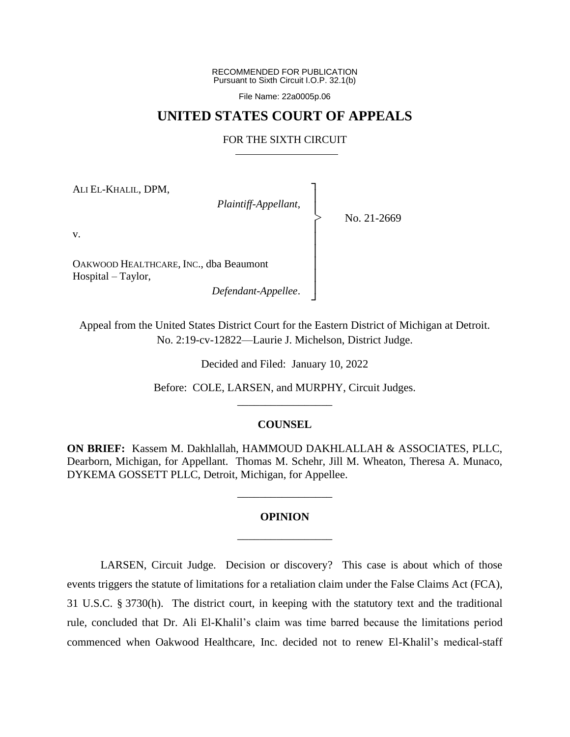RECOMMENDED FOR PUBLICATION Pursuant to Sixth Circuit I.O.P. 32.1(b)

File Name: 22a0005p.06

## **UNITED STATES COURT OF APPEALS**

## FOR THE SIXTH CIRCUIT

┐ │ │ │ │ │ │ │ │ ┘

|<br>|<br>|

ALI EL-KHALIL, DPM,

*Plaintiff-Appellant*,

No. 21-2669

v.

OAKWOOD HEALTHCARE, INC., dba Beaumont Hospital – Taylor,

*Defendant-Appellee*.

Appeal from the United States District Court for the Eastern District of Michigan at Detroit. No. 2:19-cv-12822—Laurie J. Michelson, District Judge.

Decided and Filed: January 10, 2022

Before: COLE, LARSEN, and MURPHY, Circuit Judges. \_\_\_\_\_\_\_\_\_\_\_\_\_\_\_\_\_

## **COUNSEL**

**ON BRIEF:** Kassem M. Dakhlallah, HAMMOUD DAKHLALLAH & ASSOCIATES, PLLC, Dearborn, Michigan, for Appellant. Thomas M. Schehr, Jill M. Wheaton, Theresa A. Munaco, DYKEMA GOSSETT PLLC, Detroit, Michigan, for Appellee.

## **OPINION** \_\_\_\_\_\_\_\_\_\_\_\_\_\_\_\_\_

\_\_\_\_\_\_\_\_\_\_\_\_\_\_\_\_\_

LARSEN, Circuit Judge. Decision or discovery? This case is about which of those events triggers the statute of limitations for a retaliation claim under the False Claims Act (FCA), 31 U.S.C. § 3730(h). The district court, in keeping with the statutory text and the traditional rule, concluded that Dr. Ali El-Khalil's claim was time barred because the limitations period commenced when Oakwood Healthcare, Inc. decided not to renew El-Khalil's medical-staff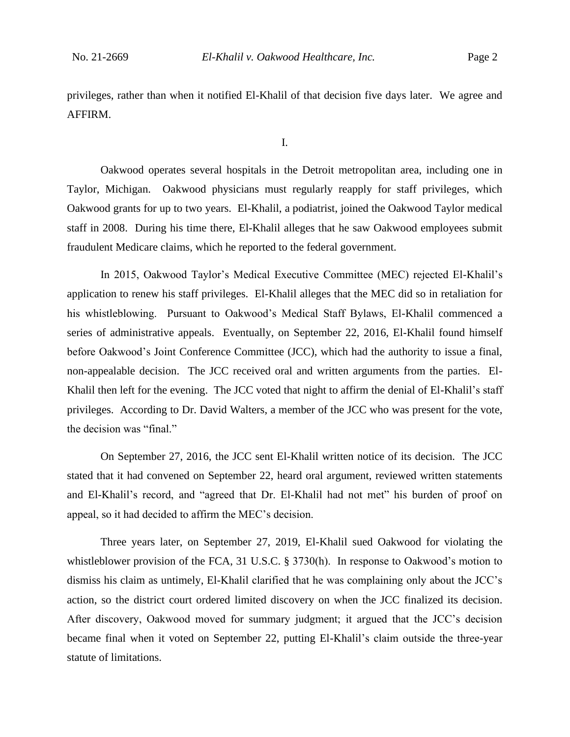privileges, rather than when it notified El-Khalil of that decision five days later. We agree and AFFIRM.

I.

Oakwood operates several hospitals in the Detroit metropolitan area, including one in Taylor, Michigan. Oakwood physicians must regularly reapply for staff privileges, which Oakwood grants for up to two years. El-Khalil, a podiatrist, joined the Oakwood Taylor medical staff in 2008. During his time there, El-Khalil alleges that he saw Oakwood employees submit fraudulent Medicare claims, which he reported to the federal government.

In 2015, Oakwood Taylor's Medical Executive Committee (MEC) rejected El-Khalil's application to renew his staff privileges. El-Khalil alleges that the MEC did so in retaliation for his whistleblowing. Pursuant to Oakwood's Medical Staff Bylaws, El-Khalil commenced a series of administrative appeals. Eventually, on September 22, 2016, El-Khalil found himself before Oakwood's Joint Conference Committee (JCC), which had the authority to issue a final, non-appealable decision. The JCC received oral and written arguments from the parties. El-Khalil then left for the evening. The JCC voted that night to affirm the denial of El-Khalil's staff privileges. According to Dr. David Walters, a member of the JCC who was present for the vote, the decision was "final."

On September 27, 2016, the JCC sent El-Khalil written notice of its decision. The JCC stated that it had convened on September 22, heard oral argument, reviewed written statements and El-Khalil's record, and "agreed that Dr. El-Khalil had not met" his burden of proof on appeal, so it had decided to affirm the MEC's decision.

Three years later, on September 27, 2019, El-Khalil sued Oakwood for violating the whistleblower provision of the FCA, 31 U.S.C. § 3730(h). In response to Oakwood's motion to dismiss his claim as untimely, El-Khalil clarified that he was complaining only about the JCC's action, so the district court ordered limited discovery on when the JCC finalized its decision. After discovery, Oakwood moved for summary judgment; it argued that the JCC's decision became final when it voted on September 22, putting El-Khalil's claim outside the three-year statute of limitations.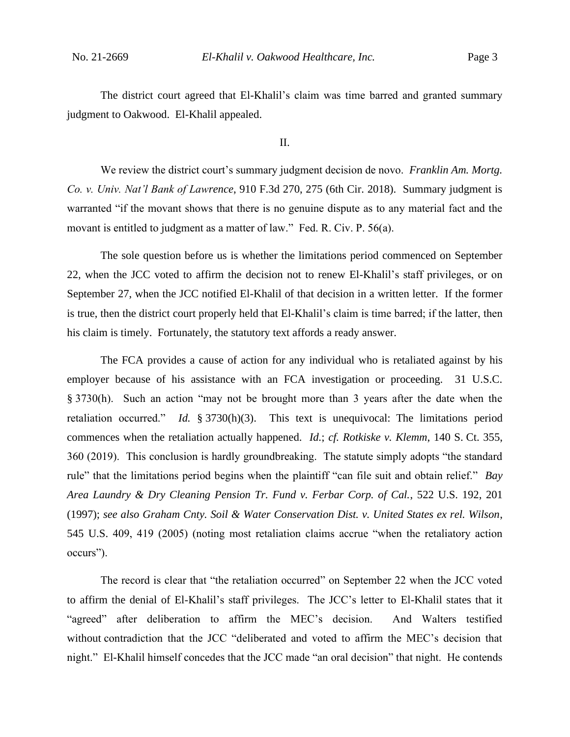The district court agreed that El-Khalil's claim was time barred and granted summary judgment to Oakwood. El-Khalil appealed.

II.

We review the district court's summary judgment decision de novo. *Franklin Am. Mortg. Co. v. Univ. Nat'l Bank of Lawrence*, 910 F.3d 270, 275 (6th Cir. 2018). Summary judgment is warranted "if the movant shows that there is no genuine dispute as to any material fact and the movant is entitled to judgment as a matter of law." Fed. R. Civ. P. 56(a).

The sole question before us is whether the limitations period commenced on September 22, when the JCC voted to affirm the decision not to renew El-Khalil's staff privileges, or on September 27, when the JCC notified El-Khalil of that decision in a written letter. If the former is true, then the district court properly held that El-Khalil's claim is time barred; if the latter, then his claim is timely. Fortunately, the statutory text affords a ready answer.

The FCA provides a cause of action for any individual who is retaliated against by his employer because of his assistance with an FCA investigation or proceeding. 31 U.S.C. § 3730(h). Such an action "may not be brought more than 3 years after the date when the retaliation occurred." *Id.* § 3730(h)(3). This text is unequivocal: The limitations period commences when the retaliation actually happened. *Id.*; *cf. Rotkiske v. Klemm*, 140 S. Ct. 355, 360 (2019). This conclusion is hardly groundbreaking. The statute simply adopts "the standard rule" that the limitations period begins when the plaintiff "can file suit and obtain relief." *Bay Area Laundry & Dry Cleaning Pension Tr. Fund v. Ferbar Corp. of Cal.*, 522 U.S. 192, 201 (1997); *see also Graham Cnty. Soil & Water Conservation Dist. v. United States ex rel. Wilson*, 545 U.S. 409, 419 (2005) (noting most retaliation claims accrue "when the retaliatory action occurs").

The record is clear that "the retaliation occurred" on September 22 when the JCC voted to affirm the denial of El-Khalil's staff privileges. The JCC's letter to El-Khalil states that it "agreed" after deliberation to affirm the MEC's decision. And Walters testified without contradiction that the JCC "deliberated and voted to affirm the MEC's decision that night." El-Khalil himself concedes that the JCC made "an oral decision" that night. He contends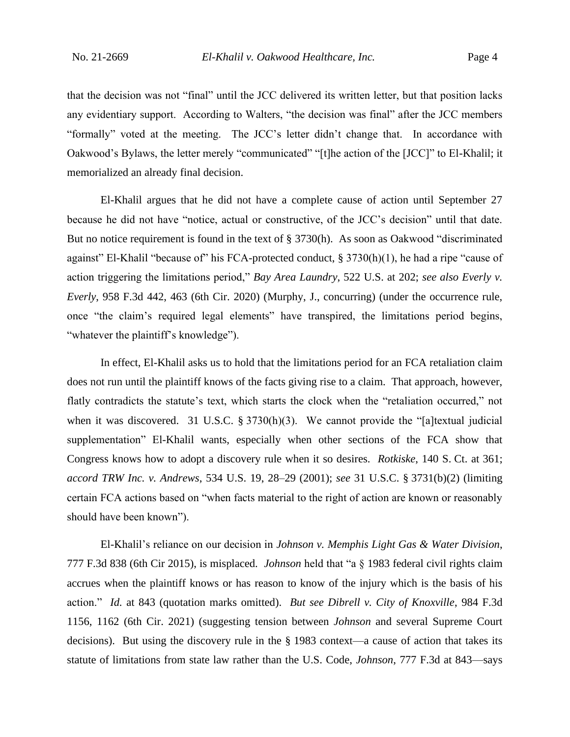that the decision was not "final" until the JCC delivered its written letter, but that position lacks any evidentiary support. According to Walters, "the decision was final" after the JCC members "formally" voted at the meeting. The JCC's letter didn't change that. In accordance with Oakwood's Bylaws, the letter merely "communicated" "[t]he action of the [JCC]" to El-Khalil; it memorialized an already final decision.

El-Khalil argues that he did not have a complete cause of action until September 27 because he did not have "notice, actual or constructive, of the JCC's decision" until that date. But no notice requirement is found in the text of § 3730(h). As soon as Oakwood "discriminated against" El-Khalil "because of" his FCA-protected conduct, § 3730(h)(1), he had a ripe "cause of action triggering the limitations period," *Bay Area Laundry*, 522 U.S. at 202; *see also Everly v. Everly*, 958 F.3d 442, 463 (6th Cir. 2020) (Murphy, J., concurring) (under the occurrence rule, once "the claim's required legal elements" have transpired, the limitations period begins, "whatever the plaintiff's knowledge").

In effect, El-Khalil asks us to hold that the limitations period for an FCA retaliation claim does not run until the plaintiff knows of the facts giving rise to a claim. That approach, however, flatly contradicts the statute's text, which starts the clock when the "retaliation occurred," not when it was discovered. 31 U.S.C. § 3730(h)(3). We cannot provide the "[a]textual judicial supplementation" El-Khalil wants, especially when other sections of the FCA show that Congress knows how to adopt a discovery rule when it so desires. *Rotkiske*, 140 S. Ct. at 361; *accord TRW Inc. v. Andrews*, 534 U.S. 19, 28–29 (2001); *see* 31 U.S.C. § 3731(b)(2) (limiting certain FCA actions based on "when facts material to the right of action are known or reasonably should have been known").

El-Khalil's reliance on our decision in *Johnson v. Memphis Light Gas & Water Division*, 777 F.3d 838 (6th Cir 2015), is misplaced. *Johnson* held that "a § 1983 federal civil rights claim accrues when the plaintiff knows or has reason to know of the injury which is the basis of his action." *Id.* at 843 (quotation marks omitted). *But see Dibrell v. City of Knoxville*, 984 F.3d 1156, 1162 (6th Cir. 2021) (suggesting tension between *Johnson* and several Supreme Court decisions). But using the discovery rule in the § 1983 context—a cause of action that takes its statute of limitations from state law rather than the U.S. Code, *Johnson*, 777 F.3d at 843—says